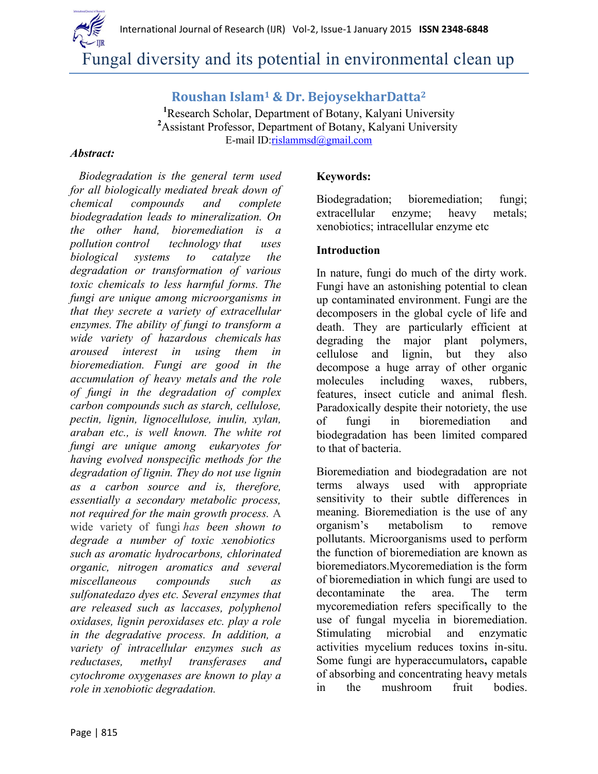Fungal diversity and its potential in environmental clean up

# **Roushan Islam<sup>1</sup> & Dr. BejoysekharDatta<sup>2</sup>**

**<sup>1</sup>**Research Scholar, Department of Botany, Kalyani University **<sup>2</sup>**Assistant Professor, Department of Botany, Kalyani University E-mail ID[:rislammsd@gmail.com](mailto:rislammsd@gmail.com)

#### *Abstract:*

*Biodegradation is the general term used for all biologically mediated break down of chemical compounds and complete biodegradation leads to mineralization. On the other hand, bioremediation is a pollution control technology that uses biological systems to catalyze the degradation or transformation of various toxic chemicals to less harmful forms. The fungi are unique among microorganisms in that they secrete a variety of extracellular enzymes. The ability of fungi to transform a wide variety of hazardous chemicals has aroused interest in using them in bioremediation. Fungi are good in the accumulation of heavy metals and the role of fungi in the degradation of complex carbon compounds such as starch, cellulose, pectin, lignin, lignocellulose, inulin, xylan, araban etc., is well known. The white rot fungi are unique among eukaryotes for having evolved nonspecific methods for the degradation of lignin. They do not use lignin as a carbon source and is, therefore, essentially a secondary metabolic process, not required for the main growth process.* A wide variety of fungi *has been shown to degrade a number of toxic xenobiotics such as aromatic hydrocarbons, chlorinated organic, nitrogen aromatics and several miscellaneous compounds such as sulfonatedazo dyes etc. Several enzymes that are released such as laccases, polyphenol oxidases, lignin peroxidases etc. play a role in the degradative process. In addition, a variety of intracellular enzymes such as reductases, methyl transferases and cytochrome oxygenases are known to play a role in xenobiotic degradation.*

### **Keywords:**

Biodegradation; bioremediation; fungi; extracellular enzyme; heavy metals; xenobiotics; intracellular enzyme etc

### **Introduction**

In nature, fungi do much of the dirty work. Fungi have an astonishing potential to clean up contaminated environment. Fungi are the decomposers in the global cycle of life and death. They are particularly efficient at degrading the major plant polymers, cellulose and lignin, but they also decompose a huge array of other organic molecules including waxes, rubbers, features, insect cuticle and animal flesh. Paradoxically despite their notoriety, the use of fungi in bioremediation and biodegradation has been limited compared to that of bacteria.

Bioremediation and biodegradation are not terms always used with appropriate sensitivity to their subtle differences in meaning. Bioremediation is the use of any organism's metabolism to remove pollutants. Microorganisms used to perform the function of bioremediation are known as bioremediators.Mycoremediation is the form of bioremediation in which fungi are used to decontaminate the area. The term mycoremediation refers specifically to the use of fungal mycelia in bioremediation. Stimulating microbial and enzymatic activities mycelium reduces toxins in-situ. Some fungi are hyperaccumulators**,** capable of absorbing and concentrating heavy metals in the mushroom fruit bodies.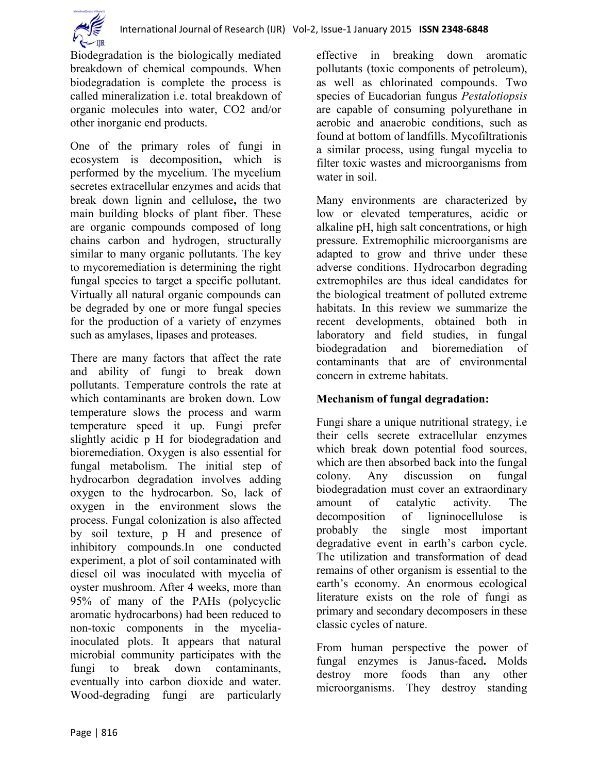

Biodegradation is the biologically mediated breakdown of chemical compounds. When biodegradation is complete the process is called mineralization i.e. total breakdown of organic molecules into water, CO2 and/or other inorganic end products.

One of the primary roles of fungi in ecosystem is decomposition**,** which is performed by the mycelium. The mycelium secretes extracellular enzymes and acids that break down lignin and cellulose**,** the two main building blocks of plant fiber. These are organic compounds composed of long chains carbon and hydrogen, structurally similar to many organic pollutants. The key to mycoremediation is determining the right fungal species to target a specific pollutant. Virtually all natural organic compounds can be degraded by one or more fungal species for the production of a variety of enzymes such as amylases, lipases and proteases.

There are many factors that affect the rate and ability of fungi to break down pollutants. Temperature controls the rate at which contaminants are broken down. Low temperature slows the process and warm temperature speed it up. Fungi prefer slightly acidic p H for biodegradation and bioremediation. Oxygen is also essential for fungal metabolism. The initial step of hydrocarbon degradation involves adding oxygen to the hydrocarbon. So, lack of oxygen in the environment slows the process. Fungal colonization is also affected by soil texture, p H and presence of inhibitory compounds.In one conducted experiment, a plot of soil contaminated with diesel oil was inoculated with mycelia of oyster mushroom. After 4 weeks, more than 95% of many of the PAHs (polycyclic aromatic hydrocarbons) had been reduced to non-toxic components in the myceliainoculated plots. It appears that natural microbial community participates with the fungi to break down contaminants, eventually into carbon dioxide and water. Wood-degrading fungi are particularly effective in breaking down aromatic pollutants (toxic components of petroleum), as well as chlorinated compounds. Two species of Eucadorian fungus *Pestalotiopsis* are capable of consuming polyurethane in aerobic and anaerobic conditions, such as found at bottom of landfills. Mycofiltrationis a similar process, using fungal mycelia to filter toxic wastes and microorganisms from water in soil.

Many environments are characterized by low or elevated temperatures, acidic or alkaline pH, high salt concentrations, or high pressure. Extremophilic microorganisms are adapted to grow and thrive under these adverse conditions. Hydrocarbon degrading extremophiles are thus ideal candidates for the biological treatment of polluted extreme habitats. In this review we summarize the recent developments, obtained both in laboratory and field studies, in fungal biodegradation and bioremediation of contaminants that are of environmental concern in extreme habitats.

## **Mechanism of fungal degradation:**

Fungi share a unique nutritional strategy, i.e their cells secrete extracellular enzymes which break down potential food sources, which are then absorbed back into the fungal colony. Any discussion on fungal biodegradation must cover an extraordinary amount of catalytic activity. The decomposition of ligninocellulose is probably the single most important degradative event in earth's carbon cycle. The utilization and transformation of dead remains of other organism is essential to the earth's economy. An enormous ecological literature exists on the role of fungi as primary and secondary decomposers in these classic cycles of nature.

From human perspective the power of fungal enzymes is Janus-faced**.** Molds destroy more foods than any other microorganisms. They destroy standing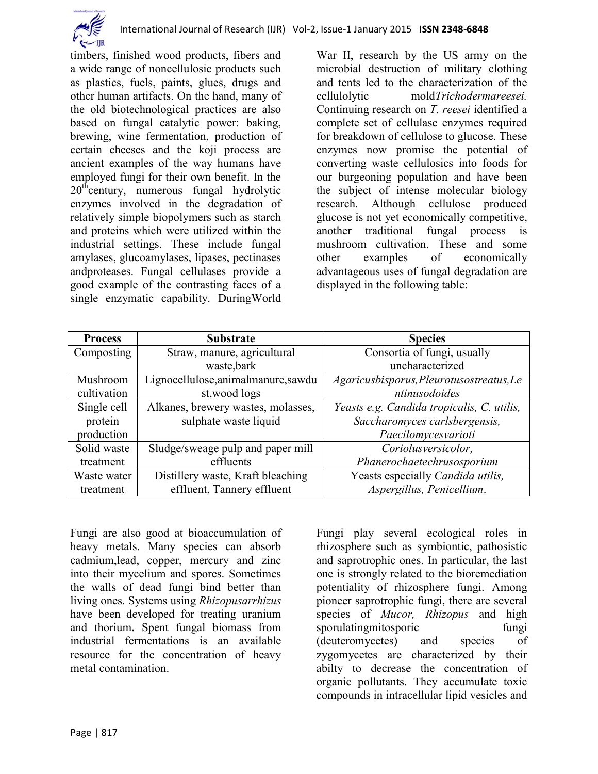

timbers, finished wood products, fibers and a wide range of noncellulosic products such as plastics, fuels, paints, glues, drugs and other human artifacts. On the hand, many of the old biotechnological practices are also based on fungal catalytic power: baking, brewing, wine fermentation, production of certain cheeses and the koji process are ancient examples of the way humans have employed fungi for their own benefit. In the  $20<sup>th</sup>$ century, numerous fungal hydrolytic enzymes involved in the degradation of relatively simple biopolymers such as starch and proteins which were utilized within the industrial settings. These include fungal amylases, glucoamylases, lipases, pectinases andproteases. Fungal cellulases provide a good example of the contrasting faces of a single enzymatic capability. DuringWorld

War II, research by the US army on the microbial destruction of military clothing and tents led to the characterization of the cellulolytic mold*Trichodermareesei.* Continuing research on *T. reesei* identified a complete set of cellulase enzymes required for breakdown of cellulose to glucose. These enzymes now promise the potential of converting waste cellulosics into foods for our burgeoning population and have been the subject of intense molecular biology research. Although cellulose produced glucose is not yet economically competitive, another traditional fungal process is mushroom cultivation. These and some other examples of economically advantageous uses of fungal degradation are displayed in the following table:

| <b>Process</b> | <b>Substrate</b>                    | <b>Species</b>                             |  |
|----------------|-------------------------------------|--------------------------------------------|--|
| Composting     | Straw, manure, agricultural         | Consortia of fungi, usually                |  |
|                | waste, bark                         | uncharacterized                            |  |
| Mushroom       | Lignocellulose, animalmanure, sawdu | Agaricusbisporus, Pleurotusostreatus, Le   |  |
| cultivation    | st, wood logs                       | ntinusodoides                              |  |
| Single cell    | Alkanes, brewery wastes, molasses,  | Yeasts e.g. Candida tropicalis, C. utilis, |  |
| protein        | sulphate waste liquid               | Saccharomyces carlsbergensis,              |  |
| production     |                                     | Paecilomycesvarioti                        |  |
| Solid waste    | Sludge/sweage pulp and paper mill   | Coriolusversicolor,                        |  |
| treatment      | effluents                           | Phanerochaetechrusosporium                 |  |
| Waste water    | Distillery waste, Kraft bleaching   | Yeasts especially Candida utilis,          |  |
| treatment      | effluent, Tannery effluent          | Aspergillus, Penicellium.                  |  |

Fungi are also good at bioaccumulation of heavy metals. Many species can absorb cadmium,lead, copper, mercury and zinc into their mycelium and spores. Sometimes the walls of dead fungi bind better than living ones. Systems using *Rhizopusarrhizus* have been developed for treating uranium and thorium**.** Spent fungal biomass from industrial fermentations is an available resource for the concentration of heavy metal contamination.

Fungi play several ecological roles in rhizosphere such as symbiontic, pathosistic and saprotrophic ones. In particular, the last one is strongly related to the bioremediation potentiality of rhizosphere fungi. Among pioneer saprotrophic fungi, there are several species of *Mucor, Rhizopus* and high sporulating mitosporic fungi (deuteromycetes) and species of zygomycetes are characterized by their abilty to decrease the concentration of organic pollutants. They accumulate toxic compounds in intracellular lipid vesicles and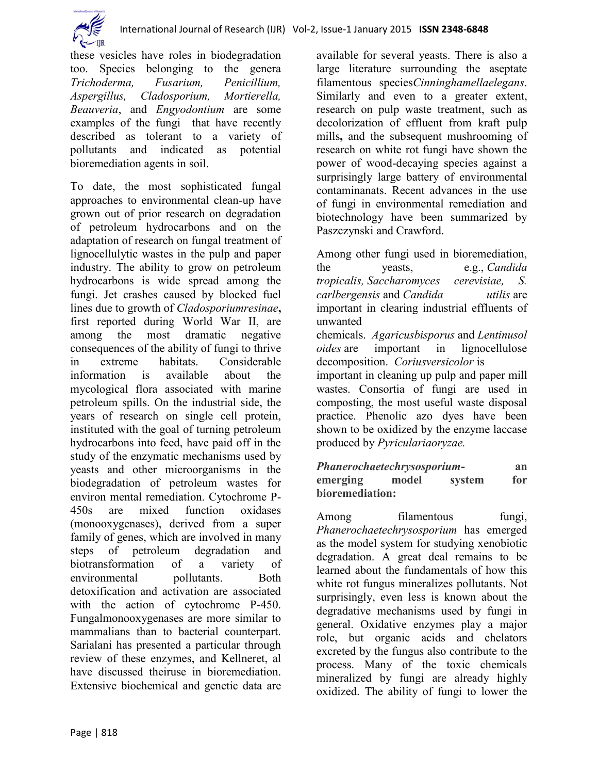

these vesicles have roles in biodegradation too. Species belonging to the genera *Trichoderma, Fusarium, Penicillium, Aspergillus, Cladosporium, Mortierella, Beauveria*, and *Engyodontium* are some examples of the fungi that have recently described as tolerant to a variety of pollutants and indicated as potential bioremediation agents in soil.

To date, the most sophisticated fungal approaches to environmental clean-up have grown out of prior research on degradation of petroleum hydrocarbons and on the adaptation of research on fungal treatment of lignocellulytic wastes in the pulp and paper industry. The ability to grow on petroleum hydrocarbons is wide spread among the fungi. Jet crashes caused by blocked fuel lines due to growth of *Cladosporiumresinae***,** first reported during World War II, are among the most dramatic negative consequences of the ability of fungi to thrive in extreme habitats. Considerable information is available about the mycological flora associated with marine petroleum spills. On the industrial side, the years of research on single cell protein, instituted with the goal of turning petroleum hydrocarbons into feed, have paid off in the study of the enzymatic mechanisms used by yeasts and other microorganisms in the biodegradation of petroleum wastes for environ mental remediation. Cytochrome P-450s are mixed function oxidases (monooxygenases), derived from a super family of genes, which are involved in many steps of petroleum degradation and biotransformation of a variety of environmental pollutants. Both detoxification and activation are associated with the action of cytochrome P-450. Fungalmonooxygenases are more similar to mammalians than to bacterial counterpart. Sarialani has presented a particular through review of these enzymes, and Kellneret, al have discussed theiruse in bioremediation. Extensive biochemical and genetic data are available for several yeasts. There is also a large literature surrounding the aseptate filamentous species*Cinninghamellaelegans*. Similarly and even to a greater extent, research on pulp waste treatment, such as decolorization of effluent from kraft pulp mills**,** and the subsequent mushrooming of research on white rot fungi have shown the power of wood-decaying species against a surprisingly large battery of environmental contaminanats. Recent advances in the use of fungi in environmental remediation and biotechnology have been summarized by Paszczynski and Crawford.

Among other fungi used in bioremediation, the yeasts, e.g., *Candida tropicalis, Saccharomyces cerevisiae, S. carlbergensis* and *Candida utilis* are important in clearing industrial effluents of unwanted chemicals. *Agaricusbisporus* and *Lentinusol oides* are important in lignocellulose decomposition. *Coriusversicolor* is important in cleaning up pulp and paper mill wastes. Consortia of fungi are used in composting, the most useful waste disposal practice. Phenolic azo dyes have been shown to be oxidized by the enzyme laccase produced by *Pyriculariaoryzae.*

#### *Phanerochaetechrysosporium***- an emerging model system for bioremediation:**

Among filamentous fungi, *Phanerochaetechrysosporium* has emerged as the model system for studying xenobiotic degradation. A great deal remains to be learned about the fundamentals of how this white rot fungus mineralizes pollutants. Not surprisingly, even less is known about the degradative mechanisms used by fungi in general. Oxidative enzymes play a major role, but organic acids and chelators excreted by the fungus also contribute to the process. Many of the toxic chemicals mineralized by fungi are already highly oxidized. The ability of fungi to lower the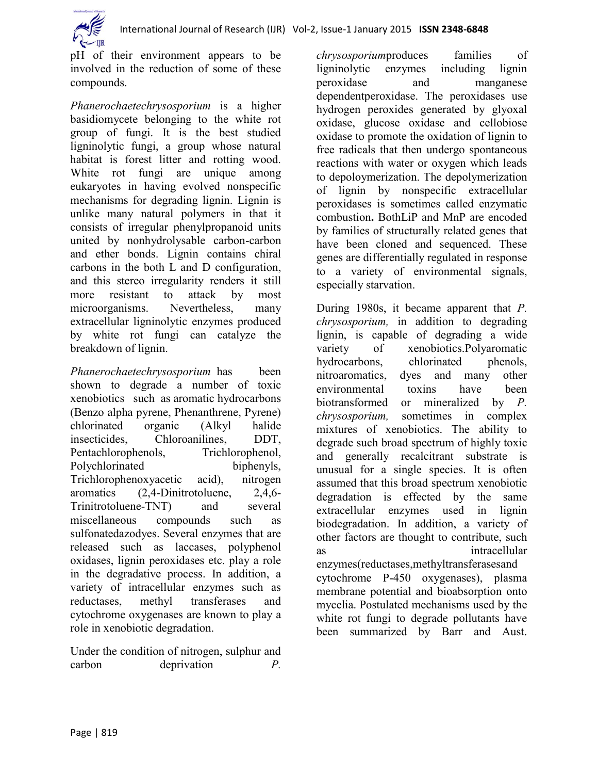

pH of their environment appears to be involved in the reduction of some of these compounds.

*Phanerochaetechrysosporium* is a higher basidiomycete belonging to the white rot group of fungi. It is the best studied ligninolytic fungi, a group whose natural habitat is forest litter and rotting wood. White rot fungi are unique among eukaryotes in having evolved nonspecific mechanisms for degrading lignin. Lignin is unlike many natural polymers in that it consists of irregular phenylpropanoid units united by nonhydrolysable carbon-carbon and ether bonds. Lignin contains chiral carbons in the both L and D configuration, and this stereo irregularity renders it still more resistant to attack by most microorganisms. Nevertheless, many extracellular ligninolytic enzymes produced by white rot fungi can catalyze the breakdown of lignin.

*Phanerochaetechrysosporium* has been shown to degrade a number of toxic xenobiotics such as aromatic hydrocarbons (Benzo alpha pyrene, Phenanthrene, Pyrene) chlorinated organic (Alkyl halide insecticides, Chloroanilines, DDT, Pentachlorophenols, Trichlorophenol, Polychlorinated biphenyls, Trichlorophenoxyacetic acid), nitrogen aromatics (2,4-Dinitrotoluene, 2,4,6- Trinitrotoluene-TNT) and several miscellaneous compounds such as sulfonatedazodyes. Several enzymes that are released such as laccases, polyphenol oxidases, lignin peroxidases etc. play a role in the degradative process. In addition, a variety of intracellular enzymes such as reductases, methyl transferases and cytochrome oxygenases are known to play a role in xenobiotic degradation.

Under the condition of nitrogen, sulphur and carbon deprivation *P*.

*chrysosporium*produces families of ligninolytic enzymes including lignin peroxidase and manganese dependentperoxidase. The peroxidases use hydrogen peroxides generated by glyoxal oxidase, glucose oxidase and cellobiose oxidase to promote the oxidation of lignin to free radicals that then undergo spontaneous reactions with water or oxygen which leads to depoloymerization. The depolymerization of lignin by nonspecific extracellular peroxidases is sometimes called enzymatic combustion**.** BothLiP and MnP are encoded by families of structurally related genes that have been cloned and sequenced. These genes are differentially regulated in response to a variety of environmental signals, especially starvation.

During 1980s, it became apparent that *P. chrysosporium,* in addition to degrading lignin, is capable of degrading a wide variety of xenobiotics.Polyaromatic hydrocarbons, chlorinated phenols, nitroaromatics, dyes and many other environmental toxins have been biotransformed or mineralized by *P. chrysosporium,* sometimes in complex mixtures of xenobiotics. The ability to degrade such broad spectrum of highly toxic and generally recalcitrant substrate is unusual for a single species. It is often assumed that this broad spectrum xenobiotic degradation is effected by the same extracellular enzymes used in lignin biodegradation. In addition, a variety of other factors are thought to contribute, such as intracellular enzymes(reductases,methyltransferasesand cytochrome P-450 oxygenases), plasma membrane potential and bioabsorption onto mycelia. Postulated mechanisms used by the white rot fungi to degrade pollutants have been summarized by Barr and Aust.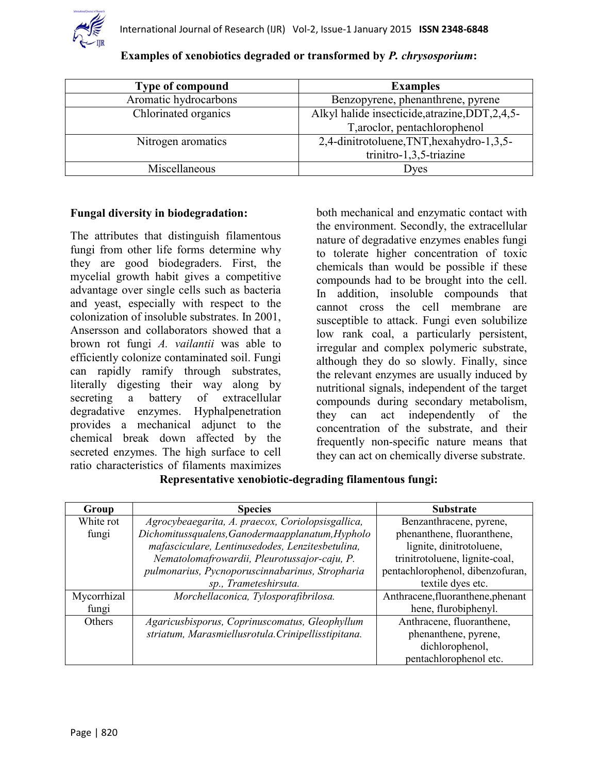

| Type of compound      | <b>Examples</b>                                   |  |
|-----------------------|---------------------------------------------------|--|
| Aromatic hydrocarbons | Benzopyrene, phenanthrene, pyrene                 |  |
| Chlorinated organics  | Alkyl halide insecticide, atrazine, DDT, 2, 4, 5- |  |
|                       | T, aroclor, pentachlorophenol                     |  |
| Nitrogen aromatics    | 2,4-dinitrotoluene, TNT, hexahydro-1,3,5-         |  |
|                       | trinitro-1,3,5-triazine                           |  |
| Miscellaneous         | Dyes                                              |  |

### **Examples of xenobiotics degraded or transformed by** *P. chrysosporium***:**

### **Fungal diversity in biodegradation:**

The attributes that distinguish filamentous fungi from other life forms determine why they are good biodegraders. First, the mycelial growth habit gives a competitive advantage over single cells such as bacteria and yeast, especially with respect to the colonization of insoluble substrates. In 2001, Ansersson and collaborators showed that a brown rot fungi *A. vailantii* was able to efficiently colonize contaminated soil. Fungi can rapidly ramify through substrates, literally digesting their way along by secreting a battery of extracellular degradative enzymes. Hyphalpenetration provides a mechanical adjunct to the chemical break down affected by the secreted enzymes. The high surface to cell ratio characteristics of filaments maximizes

both mechanical and enzymatic contact with the environment. Secondly, the extracellular nature of degradative enzymes enables fungi to tolerate higher concentration of toxic chemicals than would be possible if these compounds had to be brought into the cell. In addition, insoluble compounds that cannot cross the cell membrane are susceptible to attack. Fungi even solubilize low rank coal, a particularly persistent, irregular and complex polymeric substrate, although they do so slowly. Finally, since the relevant enzymes are usually induced by nutritional signals, independent of the target compounds during secondary metabolism, they can act independently of the concentration of the substrate, and their frequently non-specific nature means that they can act on chemically diverse substrate.

| Group       | <b>Species</b>                                      | <b>Substrate</b>                  |  |
|-------------|-----------------------------------------------------|-----------------------------------|--|
| White rot   | Agrocybeaegarita, A. praecox, Coriolopsisgallica,   | Benzanthracene, pyrene,           |  |
| fungi       | Dichomitussqualens, Ganodermaapplanatum, Hypholo    | phenanthene, fluoranthene,        |  |
|             | mafasciculare, Lentinusedodes, Lenzitesbetulina,    | lignite, dinitrotoluene,          |  |
|             | Nematolomafrowardii, Pleurotussajor-caju, P.        | trinitrotoluene, lignite-coal,    |  |
|             | pulmonarius, Pycnoporuscinnabarinus, Stropharia     | pentachlorophenol, dibenzofuran,  |  |
|             | sp., Trameteshirsuta.                               | textile dyes etc.                 |  |
| Mycorrhizal | Morchellaconica, Tylosporafibrilosa.                | Anthracene, fluoranthene, phenant |  |
| fungi       |                                                     | hene, flurobiphenyl.              |  |
| Others      | Agaricusbisporus, Coprinuscomatus, Gleophyllum      | Anthracene, fluoranthene,         |  |
|             | striatum, Marasmiellusrotula. Crinipellisstipitana. | phenanthene, pyrene,              |  |
|             |                                                     | dichlorophenol,                   |  |
|             |                                                     | pentachlorophenol etc.            |  |

#### **Representative xenobiotic-degrading filamentous fungi:**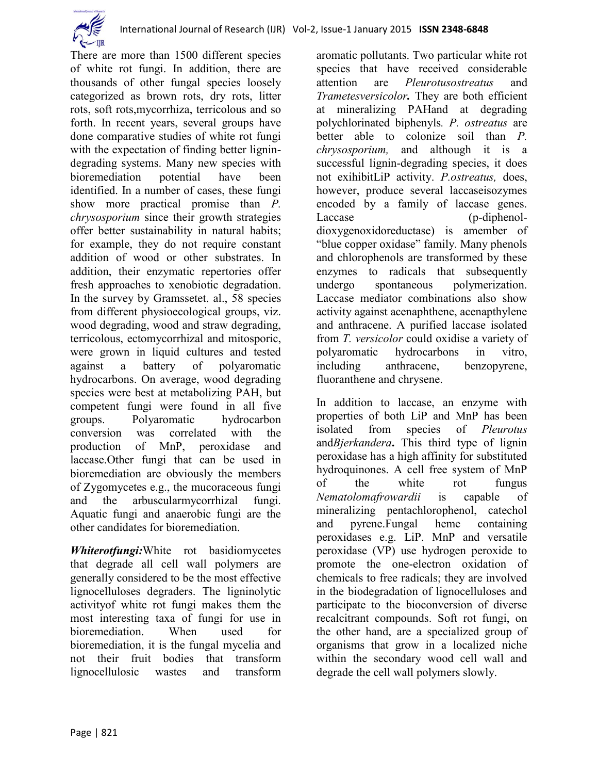There are more than 1500 different species of white rot fungi. In addition, there are thousands of other fungal species loosely categorized as brown rots, dry rots, litter rots, soft rots,mycorrhiza, terricolous and so forth. In recent years, several groups have done comparative studies of white rot fungi with the expectation of finding better lignindegrading systems. Many new species with bioremediation potential have been identified. In a number of cases, these fungi show more practical promise than *P. chrysosporium* since their growth strategies offer better sustainability in natural habits; for example, they do not require constant addition of wood or other substrates. In addition, their enzymatic repertories offer fresh approaches to xenobiotic degradation. In the survey by Gramssetet. al., 58 species from different physioecological groups, viz. wood degrading, wood and straw degrading, terricolous, ectomycorrhizal and mitosporic, were grown in liquid cultures and tested against a battery of polyaromatic hydrocarbons. On average, wood degrading species were best at metabolizing PAH, but competent fungi were found in all five groups. Polyaromatic hydrocarbon conversion was correlated with the production of MnP, peroxidase and laccase.Other fungi that can be used in bioremediation are obviously the members of Zygomycetes e.g., the mucoraceous fungi and the arbuscularmycorrhizal fungi. Aquatic fungi and anaerobic fungi are the other candidates for bioremediation.

*Whiterotfungi:*White rot basidiomycetes that degrade all cell wall polymers are generally considered to be the most effective lignocelluloses degraders. The ligninolytic activityof white rot fungi makes them the most interesting taxa of fungi for use in bioremediation. When used for bioremediation, it is the fungal mycelia and not their fruit bodies that transform lignocellulosic wastes and transform

aromatic pollutants. Two particular white rot species that have received considerable attention are *Pleurotusostreatus* and *Trametesversicolor.* They are both efficient at mineralizing PAHand at degrading polychlorinated biphenyls*. P. ostreatus* are better able to colonize soil than *P. chrysosporium,* and although it is a successful lignin-degrading species, it does not exihibitLiP activity. *P.ostreatus,* does, however, produce several laccaseisozymes encoded by a family of laccase genes. Laccase (p-diphenoldioxygenoxidoreductase) is amember of "blue copper oxidase" family. Many phenols and chlorophenols are transformed by these enzymes to radicals that subsequently undergo spontaneous polymerization. Laccase mediator combinations also show activity against acenaphthene, acenapthylene and anthracene. A purified laccase isolated from *T. versicolor* could oxidise a variety of polyaromatic hydrocarbons in vitro, including anthracene, benzopyrene, fluoranthene and chrysene.

In addition to laccase, an enzyme with properties of both LiP and MnP has been isolated from species of *Pleurotus* and*Bjerkandera***.** This third type of lignin peroxidase has a high affinity for substituted hydroquinones. A cell free system of MnP of the white rot fungus *Nematolomafrowardii* is capable of mineralizing pentachlorophenol, catechol and pyrene.Fungal heme containing peroxidases e.g. LiP. MnP and versatile peroxidase (VP) use hydrogen peroxide to promote the one-electron oxidation of chemicals to free radicals; they are involved in the biodegradation of lignocelluloses and participate to the bioconversion of diverse recalcitrant compounds. Soft rot fungi, on the other hand, are a specialized group of organisms that grow in a localized niche within the secondary wood cell wall and degrade the cell wall polymers slowly.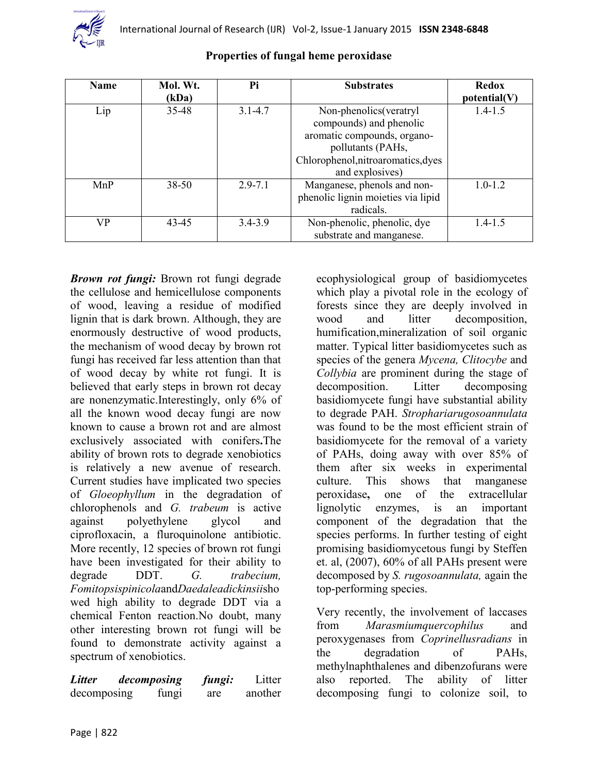

| <b>Name</b> | Mol. Wt.<br>(kDa) | Pi          | <b>Substrates</b>                                                                                                                                              | <b>Redox</b><br>potential(V) |
|-------------|-------------------|-------------|----------------------------------------------------------------------------------------------------------------------------------------------------------------|------------------------------|
| Lip         | 35-48             | $3.1 - 4.7$ | Non-phenolics(veratryl<br>compounds) and phenolic<br>aromatic compounds, organo-<br>pollutants (PAHs,<br>Chlorophenol, nitroaromatics, dyes<br>and explosives) | $1.4 - 1.5$                  |
| MnP         | 38-50             | $2.9 - 7.1$ | Manganese, phenols and non-<br>phenolic lignin moieties via lipid<br>radicals.                                                                                 | $1.0 - 1.2$                  |
| VP          | 43-45             | $3.4 - 3.9$ | Non-phenolic, phenolic, dye<br>substrate and manganese.                                                                                                        | $1.4 - 1.5$                  |

#### **Properties of fungal heme peroxidase**

*Brown rot fungi:* Brown rot fungi degrade the cellulose and hemicellulose components of wood, leaving a residue of modified lignin that is dark brown. Although, they are enormously destructive of wood products, the mechanism of wood decay by brown rot fungi has received far less attention than that of wood decay by white rot fungi. It is believed that early steps in brown rot decay are nonenzymatic.Interestingly, only 6% of all the known wood decay fungi are now known to cause a brown rot and are almost exclusively associated with conifers**.**The ability of brown rots to degrade xenobiotics is relatively a new avenue of research. Current studies have implicated two species of *Gloeophyllum* in the degradation of chlorophenols and *G. trabeum* is active against polyethylene glycol and ciprofloxacin, a fluroquinolone antibiotic. More recently, 12 species of brown rot fungi have been investigated for their ability to degrade DDT. *G. trabecium, Fomitopsispinicola*and*Daedaleadickinsii*sho wed high ability to degrade DDT via a chemical Fenton reaction.No doubt, many other interesting brown rot fungi will be found to demonstrate activity against a spectrum of xenobiotics.

*Litter decomposing fungi:* Litter decomposing fungi are another ecophysiological group of basidiomycetes which play a pivotal role in the ecology of forests since they are deeply involved in wood and litter decomposition, humification,mineralization of soil organic matter. Typical litter basidiomycetes such as species of the genera *Mycena, Clitocybe* and *Collybia* are prominent during the stage of decomposition. Litter decomposing basidiomycete fungi have substantial ability to degrade PAH. *Strophariarugosoannulata* was found to be the most efficient strain of basidiomycete for the removal of a variety of PAHs, doing away with over 85% of them after six weeks in experimental culture. This shows that manganese peroxidase**,** one of the extracellular lignolytic enzymes, is an important component of the degradation that the species performs. In further testing of eight promising basidiomycetous fungi by Steffen et. al, (2007), 60% of all PAHs present were decomposed by *S. rugosoannulata,* again the top-performing species.

Very recently, the involvement of laccases from *Marasmiumquercophilus* and peroxygenases from *Coprinellusradians* in the degradation of PAHs, methylnaphthalenes and dibenzofurans were also reported. The ability of litter decomposing fungi to colonize soil, to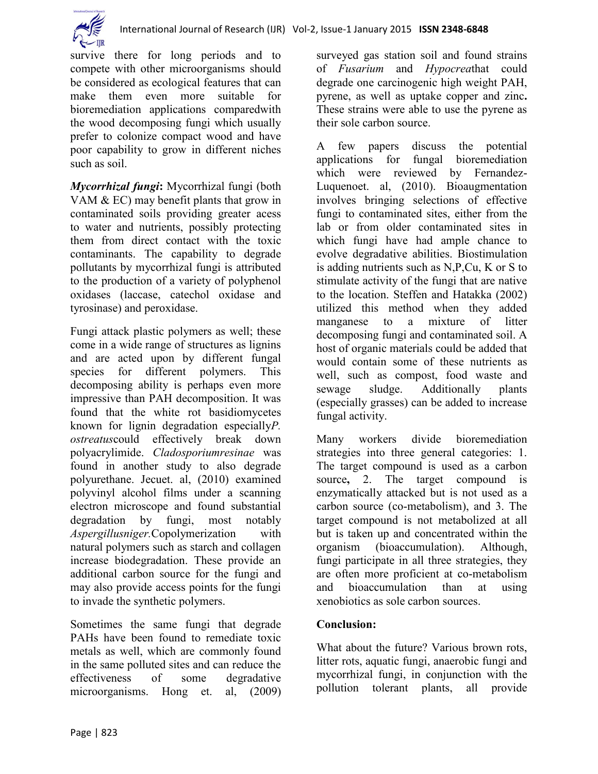

survive there for long periods and to compete with other microorganisms should be considered as ecological features that can make them even more suitable for bioremediation applications comparedwith the wood decomposing fungi which usually prefer to colonize compact wood and have poor capability to grow in different niches such as soil.

*Mycorrhizal fungi***:** Mycorrhizal fungi (both VAM & EC) may benefit plants that grow in contaminated soils providing greater acess to water and nutrients, possibly protecting them from direct contact with the toxic contaminants. The capability to degrade pollutants by mycorrhizal fungi is attributed to the production of a variety of polyphenol oxidases (laccase, catechol oxidase and tyrosinase) and peroxidase.

Fungi attack plastic polymers as well; these come in a wide range of structures as lignins and are acted upon by different fungal species for different polymers. This decomposing ability is perhaps even more impressive than PAH decomposition. It was found that the white rot basidiomycetes known for lignin degradation especially*P. ostreatus*could effectively break down polyacrylimide. *Cladosporiumresinae* was found in another study to also degrade polyurethane. Jecuet. al, (2010) examined polyvinyl alcohol films under a scanning electron microscope and found substantial degradation by fungi, most notably *Aspergillusniger.*Copolymerization with natural polymers such as starch and collagen increase biodegradation. These provide an additional carbon source for the fungi and may also provide access points for the fungi to invade the synthetic polymers.

Sometimes the same fungi that degrade PAHs have been found to remediate toxic metals as well, which are commonly found in the same polluted sites and can reduce the effectiveness of some degradative microorganisms. Hong et. al, (2009) surveyed gas station soil and found strains of *Fusarium* and *Hypocrea*that could degrade one carcinogenic high weight PAH, pyrene, as well as uptake copper and zinc**.** These strains were able to use the pyrene as their sole carbon source.

A few papers discuss the potential applications for fungal bioremediation which were reviewed by Fernandez-Luquenoet. al, (2010). Bioaugmentation involves bringing selections of effective fungi to contaminated sites, either from the lab or from older contaminated sites in which fungi have had ample chance to evolve degradative abilities. Biostimulation is adding nutrients such as N,P,Cu, K or S to stimulate activity of the fungi that are native to the location. Steffen and Hatakka (2002) utilized this method when they added manganese to a mixture of litter decomposing fungi and contaminated soil. A host of organic materials could be added that would contain some of these nutrients as well, such as compost, food waste and sewage sludge. Additionally plants (especially grasses) can be added to increase fungal activity.

Many workers divide bioremediation strategies into three general categories: 1. The target compound is used as a carbon source, 2. The target compound is enzymatically attacked but is not used as a carbon source (co-metabolism), and 3. The target compound is not metabolized at all but is taken up and concentrated within the organism (bioaccumulation). Although, fungi participate in all three strategies, they are often more proficient at co-metabolism and bioaccumulation than at using xenobiotics as sole carbon sources.

## **Conclusion:**

What about the future? Various brown rots, litter rots, aquatic fungi, anaerobic fungi and mycorrhizal fungi, in conjunction with the pollution tolerant plants, all provide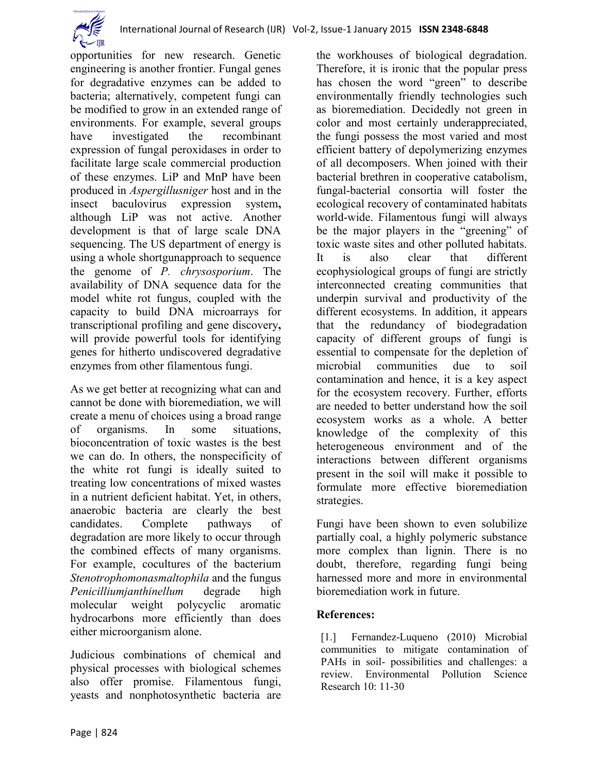

opportunities for new research. Genetic engineering is another frontier. Fungal genes for degradative enzymes can be added to bacteria; alternatively, competent fungi can be modified to grow in an extended range of environments. For example, several groups have investigated the recombinant expression of fungal peroxidases in order to facilitate large scale commercial production of these enzymes. LiP and MnP have been produced in *Aspergillusniger* host and in the insect baculovirus expression system**,** although LiP was not active. Another development is that of large scale DNA sequencing. The US department of energy is using a whole shortgunapproach to sequence the genome of *P. chrysosporium*. The availability of DNA sequence data for the model white rot fungus, coupled with the capacity to build DNA microarrays for transcriptional profiling and gene discovery**,** will provide powerful tools for identifying genes for hitherto undiscovered degradative enzymes from other filamentous fungi.

As we get better at recognizing what can and cannot be done with bioremediation, we will create a menu of choices using a broad range of organisms. In some situations, bioconcentration of toxic wastes is the best we can do. In others, the nonspecificity of the white rot fungi is ideally suited to treating low concentrations of mixed wastes in a nutrient deficient habitat. Yet, in others, anaerobic bacteria are clearly the best candidates. Complete pathways of degradation are more likely to occur through the combined effects of many organisms. For example, cocultures of the bacterium *Stenotrophomonasmaltophila* and the fungus *Penicilliumjanthinellum* degrade high molecular weight polycyclic aromatic hydrocarbons more efficiently than does either microorganism alone.

Judicious combinations of chemical and physical processes with biological schemes also offer promise. Filamentous fungi, yeasts and nonphotosynthetic bacteria are

the workhouses of biological degradation. Therefore, it is ironic that the popular press has chosen the word "green" to describe environmentally friendly technologies such as bioremediation. Decidedly not green in color and most certainly underappreciated, the fungi possess the most varied and most efficient battery of depolymerizing enzymes of all decomposers. When joined with their bacterial brethren in cooperative catabolism, fungal-bacterial consortia will foster the ecological recovery of contaminated habitats world-wide. Filamentous fungi will always be the major players in the "greening" of toxic waste sites and other polluted habitats. It is also clear that different ecophysiological groups of fungi are strictly interconnected creating communities that underpin survival and productivity of the different ecosystems. In addition, it appears that the redundancy of biodegradation capacity of different groups of fungi is essential to compensate for the depletion of microbial communities due to soil contamination and hence, it is a key aspect for the ecosystem recovery. Further, efforts are needed to better understand how the soil ecosystem works as a whole. A better knowledge of the complexity of this heterogeneous environment and of the interactions between different organisms present in the soil will make it possible to formulate more effective bioremediation strategies.

Fungi have been shown to even solubilize partially coal, a highly polymeric substance more complex than lignin. There is no doubt, therefore, regarding fungi being harnessed more and more in environmental bioremediation work in future.

### **References:**

[1.] Fernandez-Luqueno (2010) Microbial communities to mitigate contamination of PAHs in soil- possibilities and challenges: a review. Environmental Pollution Science Research 10: 11-30